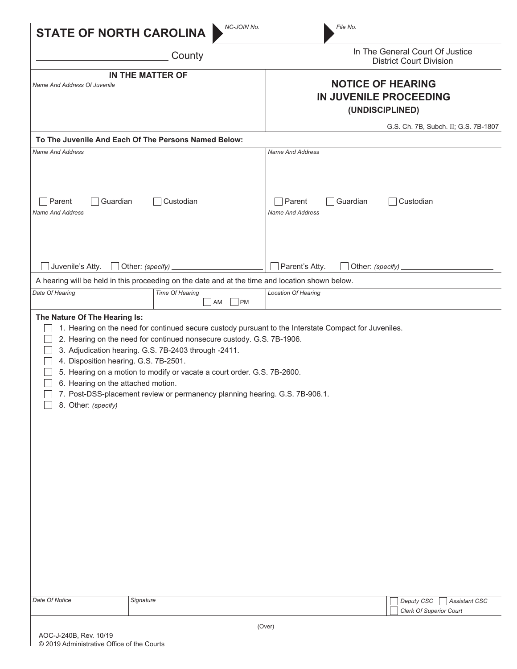|                                                                                                    | NC-JOIN No.                                                                                                                                                                                                                                                                                                                                                                                      | File No.                                                          |                                      |  |
|----------------------------------------------------------------------------------------------------|--------------------------------------------------------------------------------------------------------------------------------------------------------------------------------------------------------------------------------------------------------------------------------------------------------------------------------------------------------------------------------------------------|-------------------------------------------------------------------|--------------------------------------|--|
| <b>STATE OF NORTH CAROLINA</b>                                                                     |                                                                                                                                                                                                                                                                                                                                                                                                  |                                                                   |                                      |  |
|                                                                                                    | County                                                                                                                                                                                                                                                                                                                                                                                           | In The General Court Of Justice<br><b>District Court Division</b> |                                      |  |
|                                                                                                    | IN THE MATTER OF                                                                                                                                                                                                                                                                                                                                                                                 |                                                                   |                                      |  |
| Name And Address Of Juvenile                                                                       |                                                                                                                                                                                                                                                                                                                                                                                                  | <b>NOTICE OF HEARING</b>                                          |                                      |  |
|                                                                                                    |                                                                                                                                                                                                                                                                                                                                                                                                  | IN JUVENILE PROCEEDING                                            |                                      |  |
|                                                                                                    |                                                                                                                                                                                                                                                                                                                                                                                                  |                                                                   | (UNDISCIPLINED)                      |  |
|                                                                                                    |                                                                                                                                                                                                                                                                                                                                                                                                  |                                                                   | G.S. Ch. 7B, Subch. II; G.S. 7B-1807 |  |
|                                                                                                    | To The Juvenile And Each Of The Persons Named Below:                                                                                                                                                                                                                                                                                                                                             |                                                                   |                                      |  |
| <b>Name And Address</b>                                                                            |                                                                                                                                                                                                                                                                                                                                                                                                  | <b>Name And Address</b>                                           |                                      |  |
| Guardian<br>Custodian<br>Parent                                                                    |                                                                                                                                                                                                                                                                                                                                                                                                  | Parent<br>Guardian<br>$\blacksquare$                              | Custodian                            |  |
| Name And Address                                                                                   |                                                                                                                                                                                                                                                                                                                                                                                                  | <b>Name And Address</b>                                           |                                      |  |
|                                                                                                    |                                                                                                                                                                                                                                                                                                                                                                                                  |                                                                   |                                      |  |
| Juvenile's Atty.<br>Other: (specify)                                                               |                                                                                                                                                                                                                                                                                                                                                                                                  | Parent's Atty.<br>Other: (specify)                                |                                      |  |
|                                                                                                    | A hearing will be held in this proceeding on the date and at the time and location shown below.                                                                                                                                                                                                                                                                                                  |                                                                   |                                      |  |
| Date Of Hearing                                                                                    | Time Of Hearing<br> PM<br>AM                                                                                                                                                                                                                                                                                                                                                                     | <b>Location Of Hearing</b>                                        |                                      |  |
| 4. Disposition hearing. G.S. 7B-2501.<br>6. Hearing on the attached motion.<br>8. Other: (specify) | 1. Hearing on the need for continued secure custody pursuant to the Interstate Compact for Juveniles.<br>2. Hearing on the need for continued nonsecure custody. G.S. 7B-1906.<br>3. Adjudication hearing. G.S. 7B-2403 through -2411.<br>5. Hearing on a motion to modify or vacate a court order. G.S. 7B-2600.<br>7. Post-DSS-placement review or permanency planning hearing. G.S. 7B-906.1. |                                                                   |                                      |  |
| Date Of Notice                                                                                     | Signature                                                                                                                                                                                                                                                                                                                                                                                        |                                                                   | Deputy CSC<br><b>Assistant CSC</b>   |  |
|                                                                                                    |                                                                                                                                                                                                                                                                                                                                                                                                  |                                                                   | <b>Clerk Of Superior Court</b>       |  |
|                                                                                                    |                                                                                                                                                                                                                                                                                                                                                                                                  | (Over)                                                            |                                      |  |